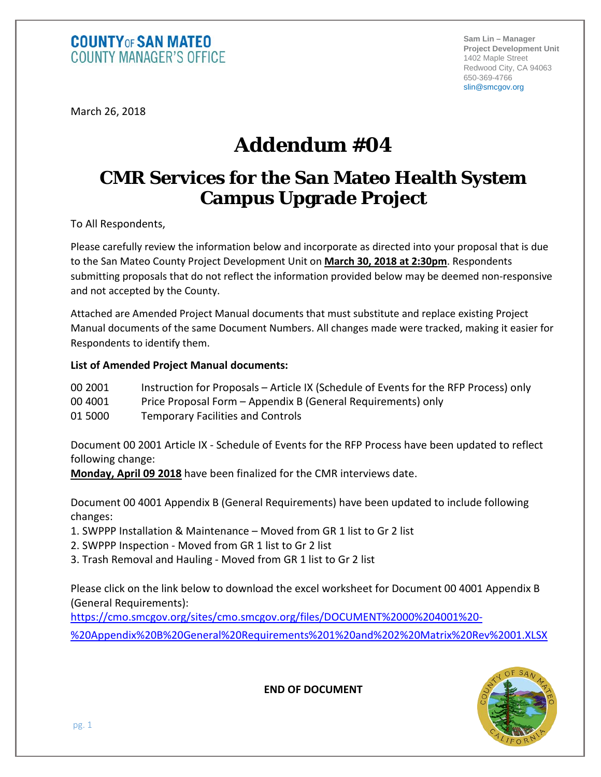**Sam Lin – Manager Project Development Unit** 1402 Maple Street Redwood City, CA 94063 650-369-4766 slin@smcgov.org

March 26, 2018

# **Addendum #04**

## **CMR Services for the San Mateo Health System Campus Upgrade Project**

To All Respondents,

Please carefully review the information below and incorporate as directed into your proposal that is due to the San Mateo County Project Development Unit on **March 30, 2018 at 2:30pm**. Respondents submitting proposals that do not reflect the information provided below may be deemed non-responsive and not accepted by the County.

Attached are Amended Project Manual documents that must substitute and replace existing Project Manual documents of the same Document Numbers. All changes made were tracked, making it easier for Respondents to identify them.

## **List of Amended Project Manual documents:**

- 00 2001 Instruction for Proposals Article IX (Schedule of Events for the RFP Process) only
- 00 4001 Price Proposal Form Appendix B (General Requirements) only
- 01 5000 Temporary Facilities and Controls

Document 00 2001 Article IX - Schedule of Events for the RFP Process have been updated to reflect following change:

**Monday, April 09 2018** have been finalized for the CMR interviews date.

Document 00 4001 Appendix B (General Requirements) have been updated to include following changes:

- 1. SWPPP Installation & Maintenance Moved from GR 1 list to Gr 2 list
- 2. SWPPP Inspection Moved from GR 1 list to Gr 2 list
- 3. Trash Removal and Hauling Moved from GR 1 list to Gr 2 list

Please click on the link below to download the excel worksheet for Document 00 4001 Appendix B (General Requirements):

[https://cmo.smcgov.org/sites/cmo.smcgov.org/files/DOCUMENT%2000%204001%20-](https://cmo.smcgov.org/sites/cmo.smcgov.org/files/DOCUMENT%2000%204001%20-%20Appendix%20B%20General%20Requirements%201%20and%202%20Matrix%20Rev%2001.XLSX)[%20Appendix%20B%20General%20Requirements%201%20and%202%20Matrix%20Rev%2001.XLSX](https://cmo.smcgov.org/sites/cmo.smcgov.org/files/DOCUMENT%2000%204001%20-%20Appendix%20B%20General%20Requirements%201%20and%202%20Matrix%20Rev%2001.XLSX)



**END OF DOCUMENT**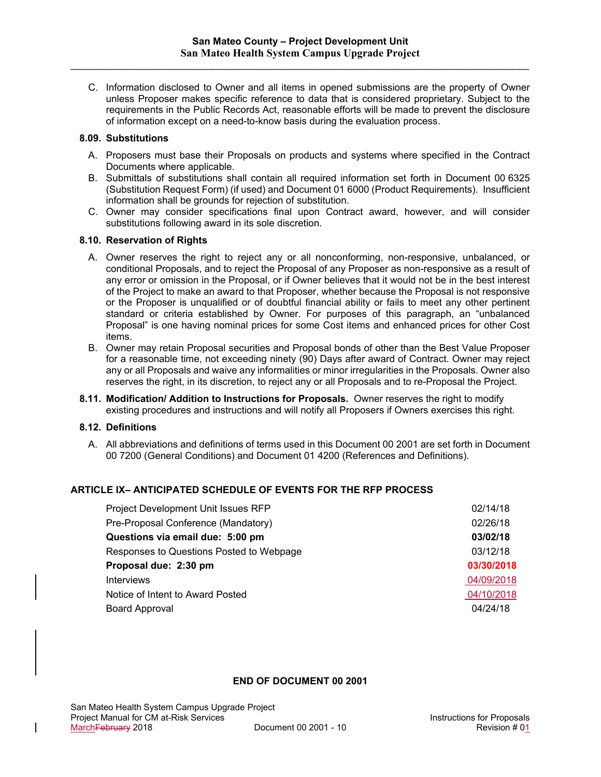C. Information disclosed to Owner and all items in opened submissions are the property of Owner unless Proposer makes specific reference to data that is considered proprietary. Subject to the requirements in the Public Records Act, reasonable efforts will be made to prevent the disclosure of information except on a need-to-know basis during the evaluation process.

#### **8.09. Substitutions**

- A. Proposers must base their Proposals on products and systems where specified in the Contract Documents where applicable.
- B. Submittals of substitutions shall contain all required information set forth in Document 00 6325 (Substitution Request Form) (if used) and Document 01 6000 (Product Requirements). Insufficient information shall be grounds for rejection of substitution.
- C. Owner may consider specifications final upon Contract award, however, and will consider substitutions following award in its sole discretion.

## **8.10. Reservation of Rights**

- A. Owner reserves the right to reject any or all nonconforming, non-responsive, unbalanced, or conditional Proposals, and to reject the Proposal of any Proposer as non-responsive as a result of any error or omission in the Proposal, or if Owner believes that it would not be in the best interest of the Project to make an award to that Proposer, whether because the Proposal is not responsive or the Proposer is unqualified or of doubtful financial ability or fails to meet any other pertinent standard or criteria established by Owner. For purposes of this paragraph, an "unbalanced Proposal" is one having nominal prices for some Cost items and enhanced prices for other Cost items.
- B. Owner may retain Proposal securities and Proposal bonds of other than the Best Value Proposer for a reasonable time, not exceeding ninety (90) Days after award of Contract. Owner may reject any or all Proposals and waive any informalities or minor irregularities in the Proposals. Owner also reserves the right, in its discretion, to reject any or all Proposals and to re-Proposal the Project.
- **8.11. Modification/ Addition to Instructions for Proposals.** Owner reserves the right to modify existing procedures and instructions and will notify all Proposers if Owners exercises this right.

## **8.12. Definitions**

A. All abbreviations and definitions of terms used in this Document 00 2001 are set forth in Document 00 7200 (General Conditions) and Document 01 4200 (References and Definitions).

## **ARTICLE IX– ANTICIPATED SCHEDULE OF EVENTS FOR THE RFP PROCESS**

| Project Development Unit Issues RFP      | 02/14/18   |
|------------------------------------------|------------|
| Pre-Proposal Conference (Mandatory)      | 02/26/18   |
| Questions via email due: 5:00 pm         | 03/02/18   |
| Responses to Questions Posted to Webpage | 03/12/18   |
| Proposal due: 2:30 pm                    | 03/30/2018 |
| <b>Interviews</b>                        | 04/09/2018 |
| Notice of Intent to Award Posted         | 04/10/2018 |
| <b>Board Approval</b>                    | 04/24/18   |

#### **END OF DOCUMENT 00 2001**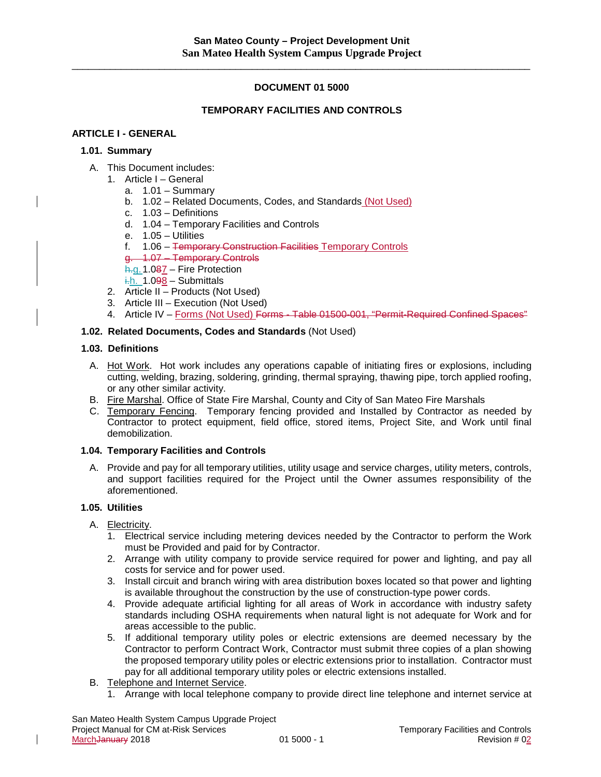## **DOCUMENT 01 5000**

## **TEMPORARY FACILITIES AND CONTROLS**

#### **ARTICLE I - GENERAL**

#### **1.01. Summary**

- A. This Document includes:
	- 1. Article I General
		- a.  $1.01 -$  Summary
		- b. 1.02 Related Documents, Codes, and Standards (Not Used)
		- c. 1.03 Definitions
		- d. 1.04 Temporary Facilities and Controls
		- e. 1.05 Utilities
		- f. 1.06 Temporary Construction Facilities Temporary Controls

#### g. 1.07 – Temporary Controls

- h.g. 1.087 Fire Protection
- $\frac{1}{10}$ . 1.098 Submittals
- 2. Article II Products (Not Used)
- 3. Article III Execution (Not Used)
- 4. Article IV Forms (Not Used) Forms Table 01500-001, "Permit-Required Confined Spaces"

#### **1.02. Related Documents, Codes and Standards** (Not Used)

#### **1.03. Definitions**

- A. Hot Work. Hot work includes any operations capable of initiating fires or explosions, including cutting, welding, brazing, soldering, grinding, thermal spraying, thawing pipe, torch applied roofing, or any other similar activity.
- B. Fire Marshal. Office of State Fire Marshal, County and City of San Mateo Fire Marshals
- C. Temporary Fencing. Temporary fencing provided and Installed by Contractor as needed by Contractor to protect equipment, field office, stored items, Project Site, and Work until final demobilization.

#### **1.04. Temporary Facilities and Controls**

A. Provide and pay for all temporary utilities, utility usage and service charges, utility meters, controls, and support facilities required for the Project until the Owner assumes responsibility of the aforementioned.

## **1.05. Utilities**

 $\mathsf{l}$ 

- A. Electricity.
	- 1. Electrical service including metering devices needed by the Contractor to perform the Work must be Provided and paid for by Contractor.
	- 2. Arrange with utility company to provide service required for power and lighting, and pay all costs for service and for power used.
	- 3. Install circuit and branch wiring with area distribution boxes located so that power and lighting is available throughout the construction by the use of construction-type power cords.
	- 4. Provide adequate artificial lighting for all areas of Work in accordance with industry safety standards including OSHA requirements when natural light is not adequate for Work and for areas accessible to the public.
	- 5. If additional temporary utility poles or electric extensions are deemed necessary by the Contractor to perform Contract Work, Contractor must submit three copies of a plan showing the proposed temporary utility poles or electric extensions prior to installation. Contractor must pay for all additional temporary utility poles or electric extensions installed.
- B. Telephone and Internet Service.
	- 1. Arrange with local telephone company to provide direct line telephone and internet service at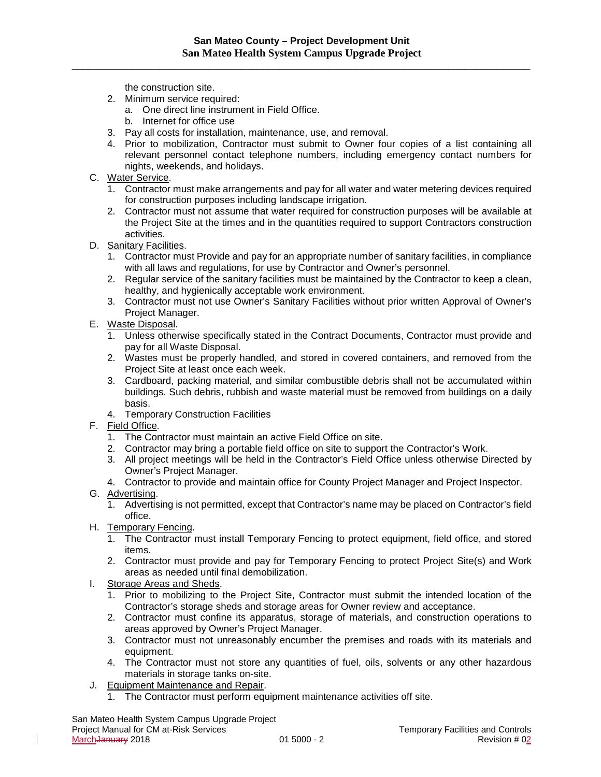the construction site.

- 2. Minimum service required:
	- a. One direct line instrument in Field Office.
		- b. Internet for office use
- 3. Pay all costs for installation, maintenance, use, and removal.
- 4. Prior to mobilization, Contractor must submit to Owner four copies of a list containing all relevant personnel contact telephone numbers, including emergency contact numbers for nights, weekends, and holidays.
- C. Water Service.
	- 1. Contractor must make arrangements and pay for all water and water metering devices required for construction purposes including landscape irrigation.
	- 2. Contractor must not assume that water required for construction purposes will be available at the Project Site at the times and in the quantities required to support Contractors construction activities.
- D. Sanitary Facilities.
	- 1. Contractor must Provide and pay for an appropriate number of sanitary facilities, in compliance with all laws and regulations, for use by Contractor and Owner's personnel.
	- 2. Regular service of the sanitary facilities must be maintained by the Contractor to keep a clean, healthy, and hygienically acceptable work environment.
	- 3. Contractor must not use Owner's Sanitary Facilities without prior written Approval of Owner's Project Manager.
- E. Waste Disposal.
	- 1. Unless otherwise specifically stated in the Contract Documents, Contractor must provide and pay for all Waste Disposal.
	- 2. Wastes must be properly handled, and stored in covered containers, and removed from the Project Site at least once each week.
	- 3. Cardboard, packing material, and similar combustible debris shall not be accumulated within buildings. Such debris, rubbish and waste material must be removed from buildings on a daily basis.
	- 4. Temporary Construction Facilities
- F. Field Office.
	- 1. The Contractor must maintain an active Field Office on site.
	- 2. Contractor may bring a portable field office on site to support the Contractor's Work.
	- 3. All project meetings will be held in the Contractor's Field Office unless otherwise Directed by Owner's Project Manager.
	- 4. Contractor to provide and maintain office for County Project Manager and Project Inspector.
- G. Advertising.

- 1. Advertising is not permitted, except that Contractor's name may be placed on Contractor's field office.
- H. Temporary Fencing.
	- 1. The Contractor must install Temporary Fencing to protect equipment, field office, and stored items.
	- 2. Contractor must provide and pay for Temporary Fencing to protect Project Site(s) and Work areas as needed until final demobilization.
- I. Storage Areas and Sheds.
	- 1. Prior to mobilizing to the Project Site, Contractor must submit the intended location of the Contractor's storage sheds and storage areas for Owner review and acceptance.
	- 2. Contractor must confine its apparatus, storage of materials, and construction operations to areas approved by Owner's Project Manager.
	- 3. Contractor must not unreasonably encumber the premises and roads with its materials and equipment.
	- 4. The Contractor must not store any quantities of fuel, oils, solvents or any other hazardous materials in storage tanks on-site.
- J. Equipment Maintenance and Repair.
	- 1. The Contractor must perform equipment maintenance activities off site.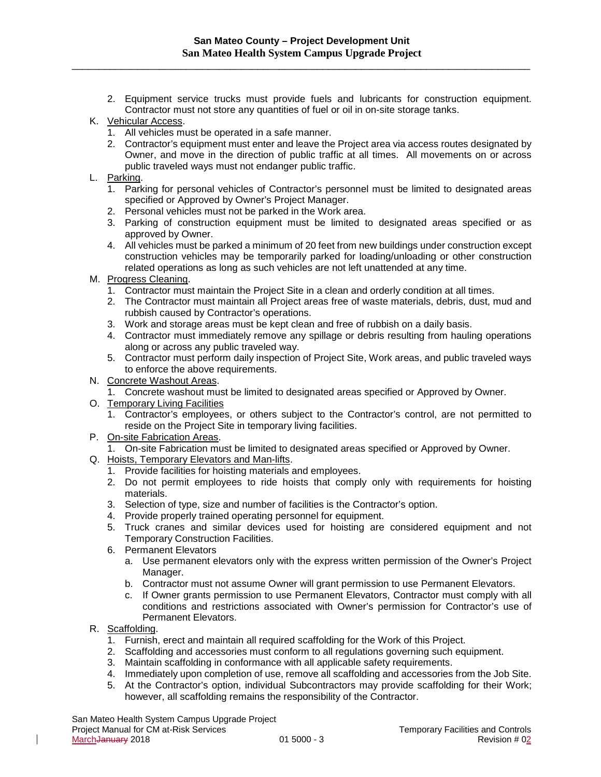\_\_\_\_\_\_\_\_\_\_\_\_\_\_\_\_\_\_\_\_\_\_\_\_\_\_\_\_\_\_\_\_\_\_\_\_\_\_\_\_\_\_\_\_\_\_\_\_\_\_\_\_\_\_\_\_\_\_\_\_\_\_\_\_\_\_\_\_\_\_\_\_\_\_\_\_\_\_\_\_\_\_\_\_

- 2. Equipment service trucks must provide fuels and lubricants for construction equipment. Contractor must not store any quantities of fuel or oil in on-site storage tanks.
- K. Vehicular Access.
	- 1. All vehicles must be operated in a safe manner.
	- 2. Contractor's equipment must enter and leave the Project area via access routes designated by Owner, and move in the direction of public traffic at all times. All movements on or across public traveled ways must not endanger public traffic.
- L. Parking.
	- 1. Parking for personal vehicles of Contractor's personnel must be limited to designated areas specified or Approved by Owner's Project Manager.
	- 2. Personal vehicles must not be parked in the Work area.
	- 3. Parking of construction equipment must be limited to designated areas specified or as approved by Owner.
	- 4. All vehicles must be parked a minimum of 20 feet from new buildings under construction except construction vehicles may be temporarily parked for loading/unloading or other construction related operations as long as such vehicles are not left unattended at any time.
- M. Progress Cleaning.
	- 1. Contractor must maintain the Project Site in a clean and orderly condition at all times.
	- 2. The Contractor must maintain all Project areas free of waste materials, debris, dust, mud and rubbish caused by Contractor's operations.
	- 3. Work and storage areas must be kept clean and free of rubbish on a daily basis.
	- 4. Contractor must immediately remove any spillage or debris resulting from hauling operations along or across any public traveled way.
	- 5. Contractor must perform daily inspection of Project Site, Work areas, and public traveled ways to enforce the above requirements.
- N. Concrete Washout Areas.
	- 1. Concrete washout must be limited to designated areas specified or Approved by Owner.
- O. Temporary Living Facilities
	- 1. Contractor's employees, or others subject to the Contractor's control, are not permitted to reside on the Project Site in temporary living facilities.
- P. On-site Fabrication Areas.
	- 1. On-site Fabrication must be limited to designated areas specified or Approved by Owner.
- Q. Hoists, Temporary Elevators and Man-lifts.
	- 1. Provide facilities for hoisting materials and employees.
	- 2. Do not permit employees to ride hoists that comply only with requirements for hoisting materials.
	- 3. Selection of type, size and number of facilities is the Contractor's option.
	- 4. Provide properly trained operating personnel for equipment.
	- 5. Truck cranes and similar devices used for hoisting are considered equipment and not Temporary Construction Facilities.
	- 6. Permanent Elevators
		- a. Use permanent elevators only with the express written permission of the Owner's Project Manager.
		- b. Contractor must not assume Owner will grant permission to use Permanent Elevators.
		- c. If Owner grants permission to use Permanent Elevators, Contractor must comply with all conditions and restrictions associated with Owner's permission for Contractor's use of Permanent Elevators.
- R. Scaffolding.

- 1. Furnish, erect and maintain all required scaffolding for the Work of this Project.
- 2. Scaffolding and accessories must conform to all regulations governing such equipment.
- 3. Maintain scaffolding in conformance with all applicable safety requirements.
- 4. Immediately upon completion of use, remove all scaffolding and accessories from the Job Site.
- 5. At the Contractor's option, individual Subcontractors may provide scaffolding for their Work; however, all scaffolding remains the responsibility of the Contractor.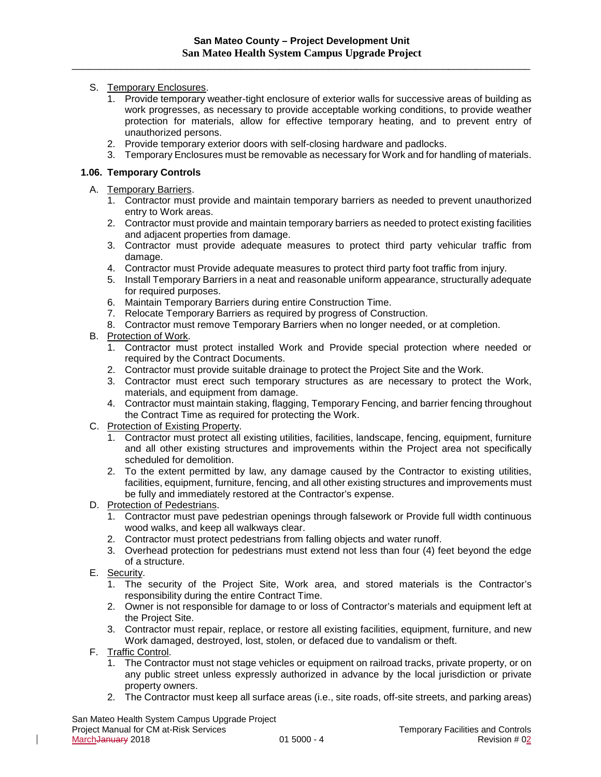## S. Temporary Enclosures.

- 1. Provide temporary weather-tight enclosure of exterior walls for successive areas of building as work progresses, as necessary to provide acceptable working conditions, to provide weather protection for materials, allow for effective temporary heating, and to prevent entry of unauthorized persons.
- 2. Provide temporary exterior doors with self-closing hardware and padlocks.
- 3. Temporary Enclosures must be removable as necessary for Work and for handling of materials.

## **1.06. Temporary Controls**

A. Temporary Barriers.

- 1. Contractor must provide and maintain temporary barriers as needed to prevent unauthorized entry to Work areas.
- 2. Contractor must provide and maintain temporary barriers as needed to protect existing facilities and adjacent properties from damage.
- 3. Contractor must provide adequate measures to protect third party vehicular traffic from damage.
- 4. Contractor must Provide adequate measures to protect third party foot traffic from injury.
- 5. Install Temporary Barriers in a neat and reasonable uniform appearance, structurally adequate for required purposes.
- 6. Maintain Temporary Barriers during entire Construction Time.
- 7. Relocate Temporary Barriers as required by progress of Construction.
- 8. Contractor must remove Temporary Barriers when no longer needed, or at completion.
- B. Protection of Work.
	- 1. Contractor must protect installed Work and Provide special protection where needed or required by the Contract Documents.
	- 2. Contractor must provide suitable drainage to protect the Project Site and the Work.
	- 3. Contractor must erect such temporary structures as are necessary to protect the Work, materials, and equipment from damage.
	- 4. Contractor must maintain staking, flagging, Temporary Fencing, and barrier fencing throughout the Contract Time as required for protecting the Work.
- C. Protection of Existing Property.
	- 1. Contractor must protect all existing utilities, facilities, landscape, fencing, equipment, furniture and all other existing structures and improvements within the Project area not specifically scheduled for demolition.
	- 2. To the extent permitted by law, any damage caused by the Contractor to existing utilities, facilities, equipment, furniture, fencing, and all other existing structures and improvements must be fully and immediately restored at the Contractor's expense.
- D. Protection of Pedestrians.
	- 1. Contractor must pave pedestrian openings through falsework or Provide full width continuous wood walks, and keep all walkways clear.
	- 2. Contractor must protect pedestrians from falling objects and water runoff.
	- 3. Overhead protection for pedestrians must extend not less than four (4) feet beyond the edge of a structure.
- E. Security.
	- 1. The security of the Project Site, Work area, and stored materials is the Contractor's responsibility during the entire Contract Time.
	- 2. Owner is not responsible for damage to or loss of Contractor's materials and equipment left at the Project Site.
	- 3. Contractor must repair, replace, or restore all existing facilities, equipment, furniture, and new Work damaged, destroyed, lost, stolen, or defaced due to vandalism or theft.
- F. Traffic Control.

- 1. The Contractor must not stage vehicles or equipment on railroad tracks, private property, or on any public street unless expressly authorized in advance by the local jurisdiction or private property owners.
- 2. The Contractor must keep all surface areas (i.e., site roads, off-site streets, and parking areas)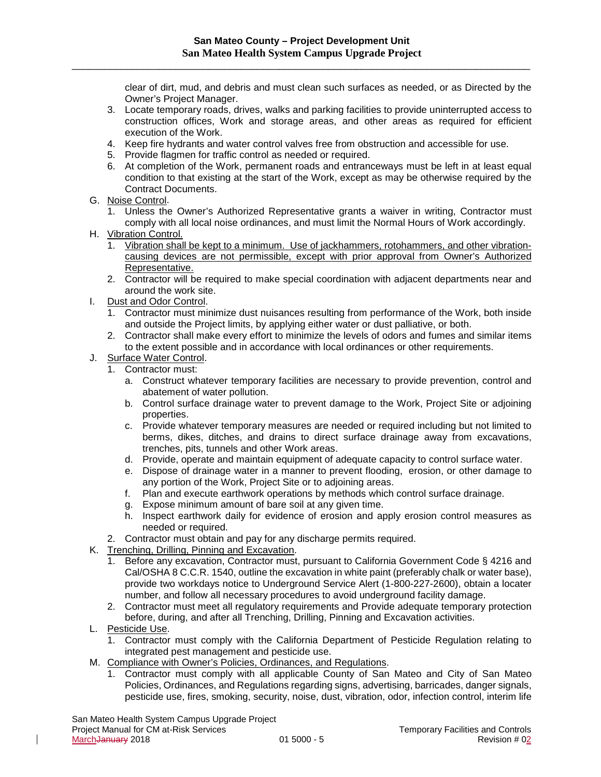clear of dirt, mud, and debris and must clean such surfaces as needed, or as Directed by the Owner's Project Manager.

- 3. Locate temporary roads, drives, walks and parking facilities to provide uninterrupted access to construction offices, Work and storage areas, and other areas as required for efficient execution of the Work.
- 4. Keep fire hydrants and water control valves free from obstruction and accessible for use.
- 5. Provide flagmen for traffic control as needed or required.
- 6. At completion of the Work, permanent roads and entranceways must be left in at least equal condition to that existing at the start of the Work, except as may be otherwise required by the Contract Documents.
- G. Noise Control.
	- 1. Unless the Owner's Authorized Representative grants a waiver in writing, Contractor must comply with all local noise ordinances, and must limit the Normal Hours of Work accordingly.
- H. Vibration Control.
	- 1. Vibration shall be kept to a minimum. Use of jackhammers, rotohammers, and other vibrationcausing devices are not permissible, except with prior approval from Owner's Authorized Representative.
	- 2. Contractor will be required to make special coordination with adjacent departments near and around the work site.
- I. Dust and Odor Control.
	- 1. Contractor must minimize dust nuisances resulting from performance of the Work, both inside and outside the Project limits, by applying either water or dust palliative, or both.
	- 2. Contractor shall make every effort to minimize the levels of odors and fumes and similar items to the extent possible and in accordance with local ordinances or other requirements.
- J. Surface Water Control.
	- 1. Contractor must:
		- a. Construct whatever temporary facilities are necessary to provide prevention, control and abatement of water pollution.
		- b. Control surface drainage water to prevent damage to the Work, Project Site or adjoining properties.
		- c. Provide whatever temporary measures are needed or required including but not limited to berms, dikes, ditches, and drains to direct surface drainage away from excavations, trenches, pits, tunnels and other Work areas.
		- d. Provide, operate and maintain equipment of adequate capacity to control surface water.
		- e. Dispose of drainage water in a manner to prevent flooding, erosion, or other damage to any portion of the Work, Project Site or to adjoining areas.
		- f. Plan and execute earthwork operations by methods which control surface drainage.
		- g. Expose minimum amount of bare soil at any given time.
		- h. Inspect earthwork daily for evidence of erosion and apply erosion control measures as needed or required.
	- 2. Contractor must obtain and pay for any discharge permits required.
- K. Trenching, Drilling, Pinning and Excavation.
	- 1. Before any excavation, Contractor must, pursuant to California Government Code § 4216 and Cal/OSHA 8 C.C.R. 1540, outline the excavation in white paint (preferably chalk or water base), provide two workdays notice to Underground Service Alert (1-800-227-2600), obtain a locater number, and follow all necessary procedures to avoid underground facility damage.
	- 2. Contractor must meet all regulatory requirements and Provide adequate temporary protection before, during, and after all Trenching, Drilling, Pinning and Excavation activities.
- L. Pesticide Use.

- 1. Contractor must comply with the California Department of Pesticide Regulation relating to integrated pest management and pesticide use.
- M. Compliance with Owner's Policies, Ordinances, and Regulations.
	- 1. Contractor must comply with all applicable County of San Mateo and City of San Mateo Policies, Ordinances, and Regulations regarding signs, advertising, barricades, danger signals, pesticide use, fires, smoking, security, noise, dust, vibration, odor, infection control, interim life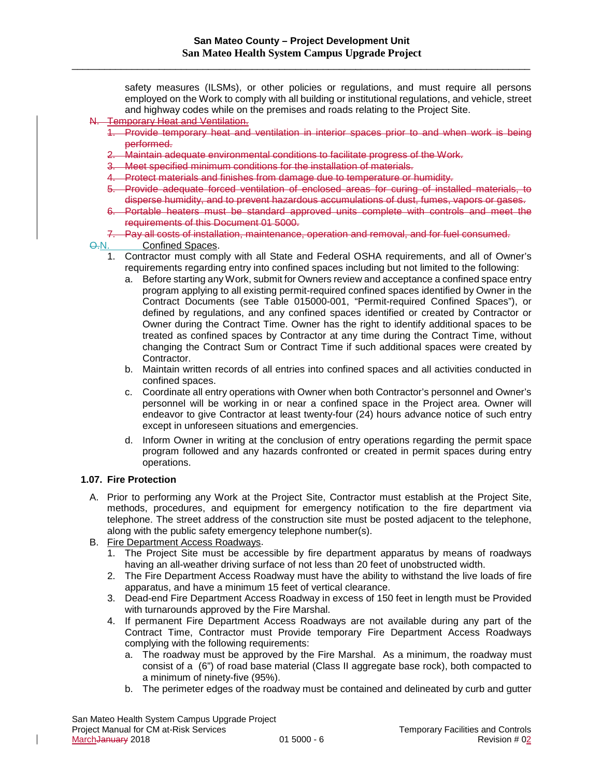safety measures (ILSMs), or other policies or regulations, and must require all persons employed on the Work to comply with all building or institutional regulations, and vehicle, street and highway codes while on the premises and roads relating to the Project Site.

- N. Temporary Heat and Ventilation.
	- Provide temporary heat and ventilation in interior spaces prior to and when work is being performed.
	- 2. Maintain adequate environmental conditions to facilitate progress of the Work.
	- 3. Meet specified minimum conditions for the installation of materials.
	- 4. Protect materials and finishes from damage due to temperature or humidity.
	- 5. Provide adequate forced ventilation of enclosed areas for curing of installed materials, to disperse humidity, and to prevent hazardous accumulations of dust, fumes, vapors or gases.
	- 6. Portable heaters must be standard approved units complete with controls and meet the requirements of this Document 01 5000.
	- 7. Pay all costs of installation, maintenance, operation and removal, and for fuel consumed.

Q.N. Confined Spaces.

- 1. Contractor must comply with all State and Federal OSHA requirements, and all of Owner's requirements regarding entry into confined spaces including but not limited to the following:
	- a. Before starting any Work, submit for Owners review and acceptance a confined space entry program applying to all existing permit-required confined spaces identified by Owner in the Contract Documents (see Table 015000-001, "Permit-required Confined Spaces"), or defined by regulations, and any confined spaces identified or created by Contractor or Owner during the Contract Time. Owner has the right to identify additional spaces to be treated as confined spaces by Contractor at any time during the Contract Time, without changing the Contract Sum or Contract Time if such additional spaces were created by Contractor.
	- b. Maintain written records of all entries into confined spaces and all activities conducted in confined spaces.
	- c. Coordinate all entry operations with Owner when both Contractor's personnel and Owner's personnel will be working in or near a confined space in the Project area. Owner will endeavor to give Contractor at least twenty-four (24) hours advance notice of such entry except in unforeseen situations and emergencies.
	- d. Inform Owner in writing at the conclusion of entry operations regarding the permit space program followed and any hazards confronted or created in permit spaces during entry operations.

#### **1.07. Fire Protection**

- A. Prior to performing any Work at the Project Site, Contractor must establish at the Project Site, methods, procedures, and equipment for emergency notification to the fire department via telephone. The street address of the construction site must be posted adjacent to the telephone, along with the public safety emergency telephone number(s).
- B. Fire Department Access Roadways.
	- 1. The Project Site must be accessible by fire department apparatus by means of roadways having an all-weather driving surface of not less than 20 feet of unobstructed width.
	- 2. The Fire Department Access Roadway must have the ability to withstand the live loads of fire apparatus, and have a minimum 15 feet of vertical clearance.
	- 3. Dead-end Fire Department Access Roadway in excess of 150 feet in length must be Provided with turnarounds approved by the Fire Marshal.
	- 4. If permanent Fire Department Access Roadways are not available during any part of the Contract Time, Contractor must Provide temporary Fire Department Access Roadways complying with the following requirements:
		- a. The roadway must be approved by the Fire Marshal. As a minimum, the roadway must consist of a (6") of road base material (Class II aggregate base rock), both compacted to a minimum of ninety-five (95%).
		- b. The perimeter edges of the roadway must be contained and delineated by curb and gutter

 $\mathsf{l}$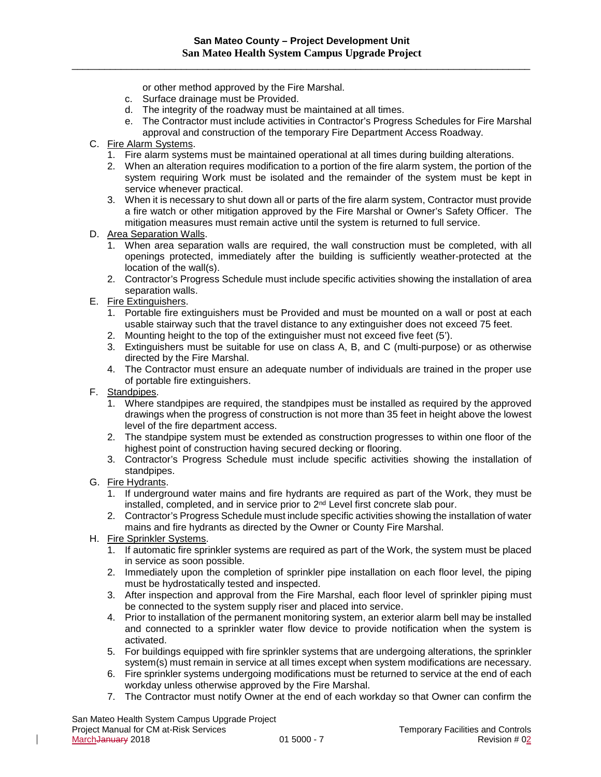or other method approved by the Fire Marshal.

- c. Surface drainage must be Provided.
- d. The integrity of the roadway must be maintained at all times.
- e. The Contractor must include activities in Contractor's Progress Schedules for Fire Marshal approval and construction of the temporary Fire Department Access Roadway.
- C. Fire Alarm Systems.
	- 1. Fire alarm systems must be maintained operational at all times during building alterations.
	- 2. When an alteration requires modification to a portion of the fire alarm system, the portion of the system requiring Work must be isolated and the remainder of the system must be kept in service whenever practical.
	- 3. When it is necessary to shut down all or parts of the fire alarm system, Contractor must provide a fire watch or other mitigation approved by the Fire Marshal or Owner's Safety Officer. The mitigation measures must remain active until the system is returned to full service.
- D. Area Separation Walls.
	- 1. When area separation walls are required, the wall construction must be completed, with all openings protected, immediately after the building is sufficiently weather-protected at the location of the wall(s).
	- 2. Contractor's Progress Schedule must include specific activities showing the installation of area separation walls.
- E. Fire Extinguishers.
	- 1. Portable fire extinguishers must be Provided and must be mounted on a wall or post at each usable stairway such that the travel distance to any extinguisher does not exceed 75 feet.
	- 2. Mounting height to the top of the extinguisher must not exceed five feet (5').
	- 3. Extinguishers must be suitable for use on class A, B, and C (multi-purpose) or as otherwise directed by the Fire Marshal.
	- 4. The Contractor must ensure an adequate number of individuals are trained in the proper use of portable fire extinguishers.
- F. Standpipes.
	- 1. Where standpipes are required, the standpipes must be installed as required by the approved drawings when the progress of construction is not more than 35 feet in height above the lowest level of the fire department access.
	- 2. The standpipe system must be extended as construction progresses to within one floor of the highest point of construction having secured decking or flooring.
	- 3. Contractor's Progress Schedule must include specific activities showing the installation of standpipes.
- G. Fire Hydrants.
	- 1. If underground water mains and fire hydrants are required as part of the Work, they must be installed, completed, and in service prior to 2nd Level first concrete slab pour.
	- 2. Contractor's Progress Schedule must include specific activities showing the installation of water mains and fire hydrants as directed by the Owner or County Fire Marshal.
- H. Fire Sprinkler Systems.
	- 1. If automatic fire sprinkler systems are required as part of the Work, the system must be placed in service as soon possible.
	- 2. Immediately upon the completion of sprinkler pipe installation on each floor level, the piping must be hydrostatically tested and inspected.
	- 3. After inspection and approval from the Fire Marshal, each floor level of sprinkler piping must be connected to the system supply riser and placed into service.
	- 4. Prior to installation of the permanent monitoring system, an exterior alarm bell may be installed and connected to a sprinkler water flow device to provide notification when the system is activated.
	- 5. For buildings equipped with fire sprinkler systems that are undergoing alterations, the sprinkler system(s) must remain in service at all times except when system modifications are necessary.
	- 6. Fire sprinkler systems undergoing modifications must be returned to service at the end of each workday unless otherwise approved by the Fire Marshal.
	- 7. The Contractor must notify Owner at the end of each workday so that Owner can confirm the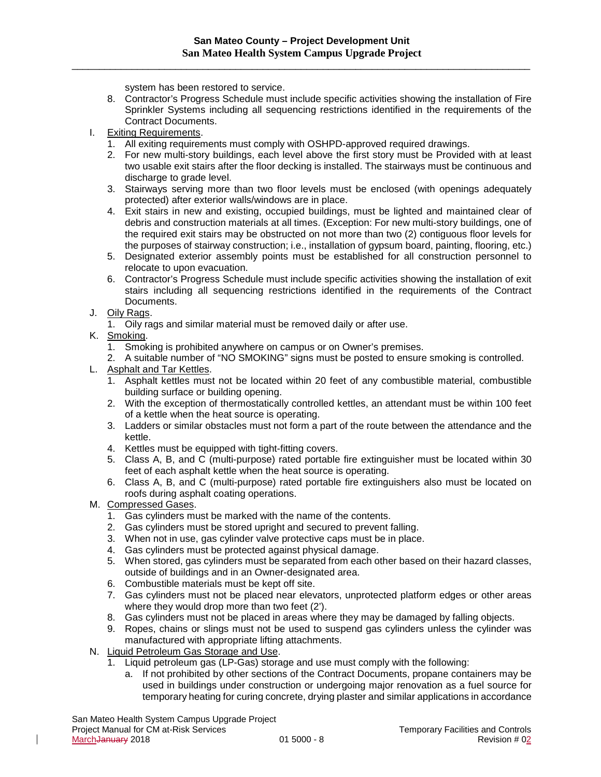system has been restored to service.

- 8. Contractor's Progress Schedule must include specific activities showing the installation of Fire Sprinkler Systems including all sequencing restrictions identified in the requirements of the Contract Documents.
- I. Exiting Requirements.
	- 1. All exiting requirements must comply with OSHPD-approved required drawings.
	- 2. For new multi-story buildings, each level above the first story must be Provided with at least two usable exit stairs after the floor decking is installed. The stairways must be continuous and discharge to grade level.
	- 3. Stairways serving more than two floor levels must be enclosed (with openings adequately protected) after exterior walls/windows are in place.
	- 4. Exit stairs in new and existing, occupied buildings, must be lighted and maintained clear of debris and construction materials at all times. (Exception: For new multi-story buildings, one of the required exit stairs may be obstructed on not more than two (2) contiguous floor levels for the purposes of stairway construction; i.e., installation of gypsum board, painting, flooring, etc.)
	- 5. Designated exterior assembly points must be established for all construction personnel to relocate to upon evacuation.
	- 6. Contractor's Progress Schedule must include specific activities showing the installation of exit stairs including all sequencing restrictions identified in the requirements of the Contract Documents.
- J. Oily Rags.
	- 1. Oily rags and similar material must be removed daily or after use.
- K. Smoking.
	- 1. Smoking is prohibited anywhere on campus or on Owner's premises.
	- 2. A suitable number of "NO SMOKING" signs must be posted to ensure smoking is controlled.
- L. Asphalt and Tar Kettles.
	- 1. Asphalt kettles must not be located within 20 feet of any combustible material, combustible building surface or building opening.
	- 2. With the exception of thermostatically controlled kettles, an attendant must be within 100 feet of a kettle when the heat source is operating.
	- 3. Ladders or similar obstacles must not form a part of the route between the attendance and the kettle.
	- 4. Kettles must be equipped with tight-fitting covers.
	- 5. Class A, B, and C (multi-purpose) rated portable fire extinguisher must be located within 30 feet of each asphalt kettle when the heat source is operating.
	- 6. Class A, B, and C (multi-purpose) rated portable fire extinguishers also must be located on roofs during asphalt coating operations.
- M. Compressed Gases.
	- 1. Gas cylinders must be marked with the name of the contents.
	- 2. Gas cylinders must be stored upright and secured to prevent falling.
	- 3. When not in use, gas cylinder valve protective caps must be in place.
	- 4. Gas cylinders must be protected against physical damage.
	- 5. When stored, gas cylinders must be separated from each other based on their hazard classes, outside of buildings and in an Owner-designated area.
	- 6. Combustible materials must be kept off site.
	- 7. Gas cylinders must not be placed near elevators, unprotected platform edges or other areas where they would drop more than two feet (2').
	- 8. Gas cylinders must not be placed in areas where they may be damaged by falling objects.
	- 9. Ropes, chains or slings must not be used to suspend gas cylinders unless the cylinder was manufactured with appropriate lifting attachments.
- N. Liquid Petroleum Gas Storage and Use.
	- 1. Liquid petroleum gas (LP-Gas) storage and use must comply with the following:
		- a. If not prohibited by other sections of the Contract Documents, propane containers may be used in buildings under construction or undergoing major renovation as a fuel source for temporary heating for curing concrete, drying plaster and similar applications in accordance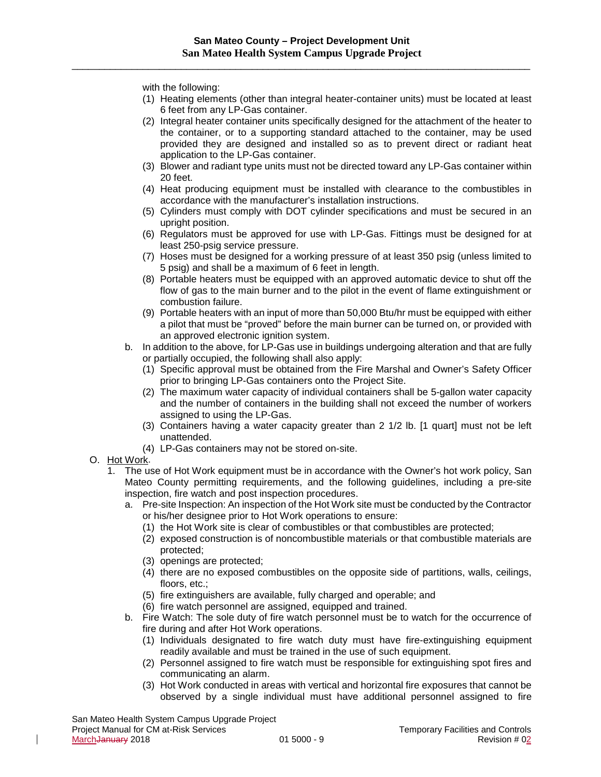with the following:

- (1) Heating elements (other than integral heater-container units) must be located at least 6 feet from any LP-Gas container.
- (2) Integral heater container units specifically designed for the attachment of the heater to the container, or to a supporting standard attached to the container, may be used provided they are designed and installed so as to prevent direct or radiant heat application to the LP-Gas container.
- (3) Blower and radiant type units must not be directed toward any LP-Gas container within 20 feet.
- (4) Heat producing equipment must be installed with clearance to the combustibles in accordance with the manufacturer's installation instructions.
- (5) Cylinders must comply with DOT cylinder specifications and must be secured in an upright position.
- (6) Regulators must be approved for use with LP-Gas. Fittings must be designed for at least 250-psig service pressure.
- (7) Hoses must be designed for a working pressure of at least 350 psig (unless limited to 5 psig) and shall be a maximum of 6 feet in length.
- (8) Portable heaters must be equipped with an approved automatic device to shut off the flow of gas to the main burner and to the pilot in the event of flame extinguishment or combustion failure.
- (9) Portable heaters with an input of more than 50,000 Btu/hr must be equipped with either a pilot that must be "proved" before the main burner can be turned on, or provided with an approved electronic ignition system.
- b. In addition to the above, for LP-Gas use in buildings undergoing alteration and that are fully or partially occupied, the following shall also apply:
	- (1) Specific approval must be obtained from the Fire Marshal and Owner's Safety Officer prior to bringing LP-Gas containers onto the Project Site.
	- (2) The maximum water capacity of individual containers shall be 5-gallon water capacity and the number of containers in the building shall not exceed the number of workers assigned to using the LP-Gas.
	- (3) Containers having a water capacity greater than 2 1/2 lb. [1 quart] must not be left unattended.
	- (4) LP-Gas containers may not be stored on-site.
- O. Hot Work.

 $\mathsf{l}$ 

- 1. The use of Hot Work equipment must be in accordance with the Owner's hot work policy, San Mateo County permitting requirements, and the following guidelines, including a pre-site inspection, fire watch and post inspection procedures.
	- a. Pre-site Inspection: An inspection of the Hot Work site must be conducted by the Contractor or his/her designee prior to Hot Work operations to ensure:
		- (1) the Hot Work site is clear of combustibles or that combustibles are protected;
		- (2) exposed construction is of noncombustible materials or that combustible materials are protected;
		- (3) openings are protected;
		- (4) there are no exposed combustibles on the opposite side of partitions, walls, ceilings, floors, etc.;
		- (5) fire extinguishers are available, fully charged and operable; and
		- (6) fire watch personnel are assigned, equipped and trained.
	- b. Fire Watch: The sole duty of fire watch personnel must be to watch for the occurrence of fire during and after Hot Work operations.
		- (1) Individuals designated to fire watch duty must have fire-extinguishing equipment readily available and must be trained in the use of such equipment.
		- (2) Personnel assigned to fire watch must be responsible for extinguishing spot fires and communicating an alarm.
		- (3) Hot Work conducted in areas with vertical and horizontal fire exposures that cannot be observed by a single individual must have additional personnel assigned to fire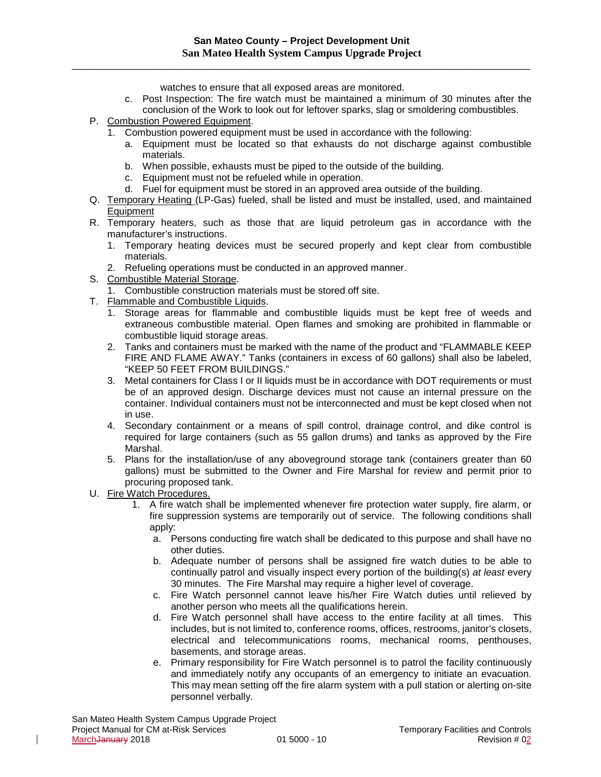\_\_\_\_\_\_\_\_\_\_\_\_\_\_\_\_\_\_\_\_\_\_\_\_\_\_\_\_\_\_\_\_\_\_\_\_\_\_\_\_\_\_\_\_\_\_\_\_\_\_\_\_\_\_\_\_\_\_\_\_\_\_\_\_\_\_\_\_\_\_\_\_\_\_\_\_\_\_\_\_\_\_\_\_

watches to ensure that all exposed areas are monitored.

- c. Post Inspection: The fire watch must be maintained a minimum of 30 minutes after the conclusion of the Work to look out for leftover sparks, slag or smoldering combustibles.
- P. Combustion Powered Equipment.
	- 1. Combustion powered equipment must be used in accordance with the following:
		- a. Equipment must be located so that exhausts do not discharge against combustible materials.
		- b. When possible, exhausts must be piped to the outside of the building.
		- c. Equipment must not be refueled while in operation.
		- d. Fuel for equipment must be stored in an approved area outside of the building.
- Q. Temporary Heating (LP-Gas) fueled, shall be listed and must be installed, used, and maintained Equipment
- R. Temporary heaters, such as those that are liquid petroleum gas in accordance with the manufacturer's instructions.
	- 1. Temporary heating devices must be secured properly and kept clear from combustible materials.
	- 2. Refueling operations must be conducted in an approved manner.
- S. Combustible Material Storage.
	- 1. Combustible construction materials must be stored off site.
- T. Flammable and Combustible Liquids.
	- 1. Storage areas for flammable and combustible liquids must be kept free of weeds and extraneous combustible material. Open flames and smoking are prohibited in flammable or combustible liquid storage areas.
	- 2. Tanks and containers must be marked with the name of the product and "FLAMMABLE KEEP FIRE AND FLAME AWAY." Tanks (containers in excess of 60 gallons) shall also be labeled, "KEEP 50 FEET FROM BUILDINGS."
	- 3. Metal containers for Class I or II liquids must be in accordance with DOT requirements or must be of an approved design. Discharge devices must not cause an internal pressure on the container. Individual containers must not be interconnected and must be kept closed when not in use.
	- 4. Secondary containment or a means of spill control, drainage control, and dike control is required for large containers (such as 55 gallon drums) and tanks as approved by the Fire Marshal.
	- 5. Plans for the installation/use of any aboveground storage tank (containers greater than 60 gallons) must be submitted to the Owner and Fire Marshal for review and permit prior to procuring proposed tank.
- U. Fire Watch Procedures.
	- 1. A fire watch shall be implemented whenever fire protection water supply, fire alarm, or fire suppression systems are temporarily out of service. The following conditions shall apply:
		- a. Persons conducting fire watch shall be dedicated to this purpose and shall have no other duties.
		- b. Adequate number of persons shall be assigned fire watch duties to be able to continually patrol and visually inspect every portion of the building(s) *at least* every 30 minutes. The Fire Marshal may require a higher level of coverage.
		- c. Fire Watch personnel cannot leave his/her Fire Watch duties until relieved by another person who meets all the qualifications herein.
		- d. Fire Watch personnel shall have access to the entire facility at all times. This includes, but is not limited to, conference rooms, offices, restrooms, janitor's closets, electrical and telecommunications rooms, mechanical rooms, penthouses, basements, and storage areas.
		- e. Primary responsibility for Fire Watch personnel is to patrol the facility continuously and immediately notify any occupants of an emergency to initiate an evacuation. This may mean setting off the fire alarm system with a pull station or alerting on-site personnel verbally.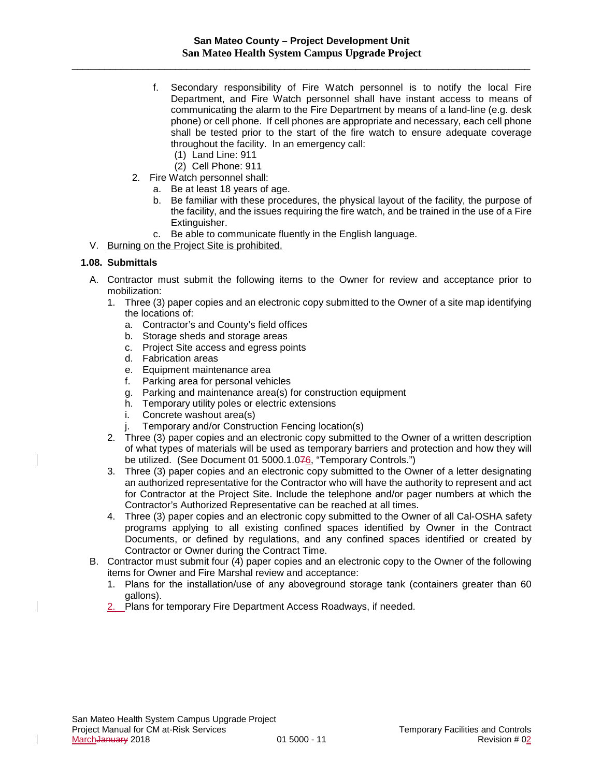\_\_\_\_\_\_\_\_\_\_\_\_\_\_\_\_\_\_\_\_\_\_\_\_\_\_\_\_\_\_\_\_\_\_\_\_\_\_\_\_\_\_\_\_\_\_\_\_\_\_\_\_\_\_\_\_\_\_\_\_\_\_\_\_\_\_\_\_\_\_\_\_\_\_\_\_\_\_\_\_\_\_\_\_

- f. Secondary responsibility of Fire Watch personnel is to notify the local Fire Department, and Fire Watch personnel shall have instant access to means of communicating the alarm to the Fire Department by means of a land-line (e.g. desk phone) or cell phone. If cell phones are appropriate and necessary, each cell phone shall be tested prior to the start of the fire watch to ensure adequate coverage throughout the facility. In an emergency call:
	- (1) Land Line: 911
	- (2) Cell Phone: 911
- 2. Fire Watch personnel shall:
	- a. Be at least 18 years of age.
	- b. Be familiar with these procedures, the physical layout of the facility, the purpose of the facility, and the issues requiring the fire watch, and be trained in the use of a Fire Extinguisher.
	- c. Be able to communicate fluently in the English language.
- V. Burning on the Project Site is prohibited.

#### **1.08. Submittals**

- A. Contractor must submit the following items to the Owner for review and acceptance prior to mobilization:
	- 1. Three (3) paper copies and an electronic copy submitted to the Owner of a site map identifying the locations of:
		- a. Contractor's and County's field offices
		- b. Storage sheds and storage areas
		- c. Project Site access and egress points
		- d. Fabrication areas
		- e. Equipment maintenance area
		- f. Parking area for personal vehicles
		- g. Parking and maintenance area(s) for construction equipment
		- h. Temporary utility poles or electric extensions
		- i. Concrete washout area(s)
		- j. Temporary and/or Construction Fencing location(s)
	- 2. Three (3) paper copies and an electronic copy submitted to the Owner of a written description of what types of materials will be used as temporary barriers and protection and how they will be utilized. (See Document 01 5000.1.076, "Temporary Controls.")
	- 3. Three (3) paper copies and an electronic copy submitted to the Owner of a letter designating an authorized representative for the Contractor who will have the authority to represent and act for Contractor at the Project Site. Include the telephone and/or pager numbers at which the Contractor's Authorized Representative can be reached at all times.
	- 4. Three (3) paper copies and an electronic copy submitted to the Owner of all Cal-OSHA safety programs applying to all existing confined spaces identified by Owner in the Contract Documents, or defined by regulations, and any confined spaces identified or created by Contractor or Owner during the Contract Time.
- B. Contractor must submit four (4) paper copies and an electronic copy to the Owner of the following items for Owner and Fire Marshal review and acceptance:
	- 1. Plans for the installation/use of any aboveground storage tank (containers greater than 60 gallons).
	- 2. Plans for temporary Fire Department Access Roadways, if needed.

 $\mathbf{I}$